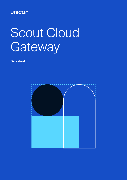## **UNICON**

# Scout Cloud Gateway

**Datasheet**

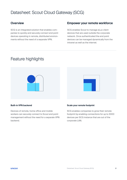## Datasheet: Scout Cloud Gateway (SCG)

SCG is an integrated solution that enables companies to quickly and securely connect end point devices operating in remote, distributed environments without the need of a separate VPN.

### **Overview Empower your remote workforce**

SCG enables Scout to manage eLux client devices that are used outside the corporate network. Once authenticated the end point devices can be managed dynamically from the intranet as well as the internet.

## Feature highlights



#### **Built-in VPN backend**

Devices of remote, home office and mobile workers can securely connect to Scout end point management without the need for a separate VPN backend.

## **Scale your remote footprint**

SCG enables companies to grow their remote footprint by enabling connections for up to 3000 devices per SCG instance that are out of the corporate LAN.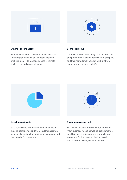



#### **Dynamic secure access**

First time users need to authenticate via Active Directory, Identity Provider, or access tokens enabling local IT to manage access to remote devices and end points with ease.

#### **Seamless rollout**

IT administrators can manage end point devices and peripherals avoiding complicated, complex, and fragmented multi-vendor, multi-platform scenarios saving time and effort.





#### **Save time and costs**

SCG establishes a secure connection between the end point device and the Scout Management solution eliminating the need for an expensive and dedicated VPN connection.

#### **Anytime, anywhere work**

SCG helps local IT streamline operations and meet business needs as well as user demands quickly in home office, remote or mobile work scenarios. Businesses can deploy digital workspaces in a lean, efficient manner.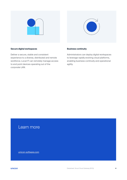



#### **Secure digital workspaces**

Deliver a secure, stable and consistent experience to a diverse, distributed and remote workforce. Local IT can remotely manage access to end point devices operating out of the corporate LAN.

#### **Business continuity**

Administrators can deploy digital workspaces to leverage rapidly evolving cloud platforms, enabling business continuity and operational agility.

## Learn more

[unicon-software.com](http://unicon-software.com)